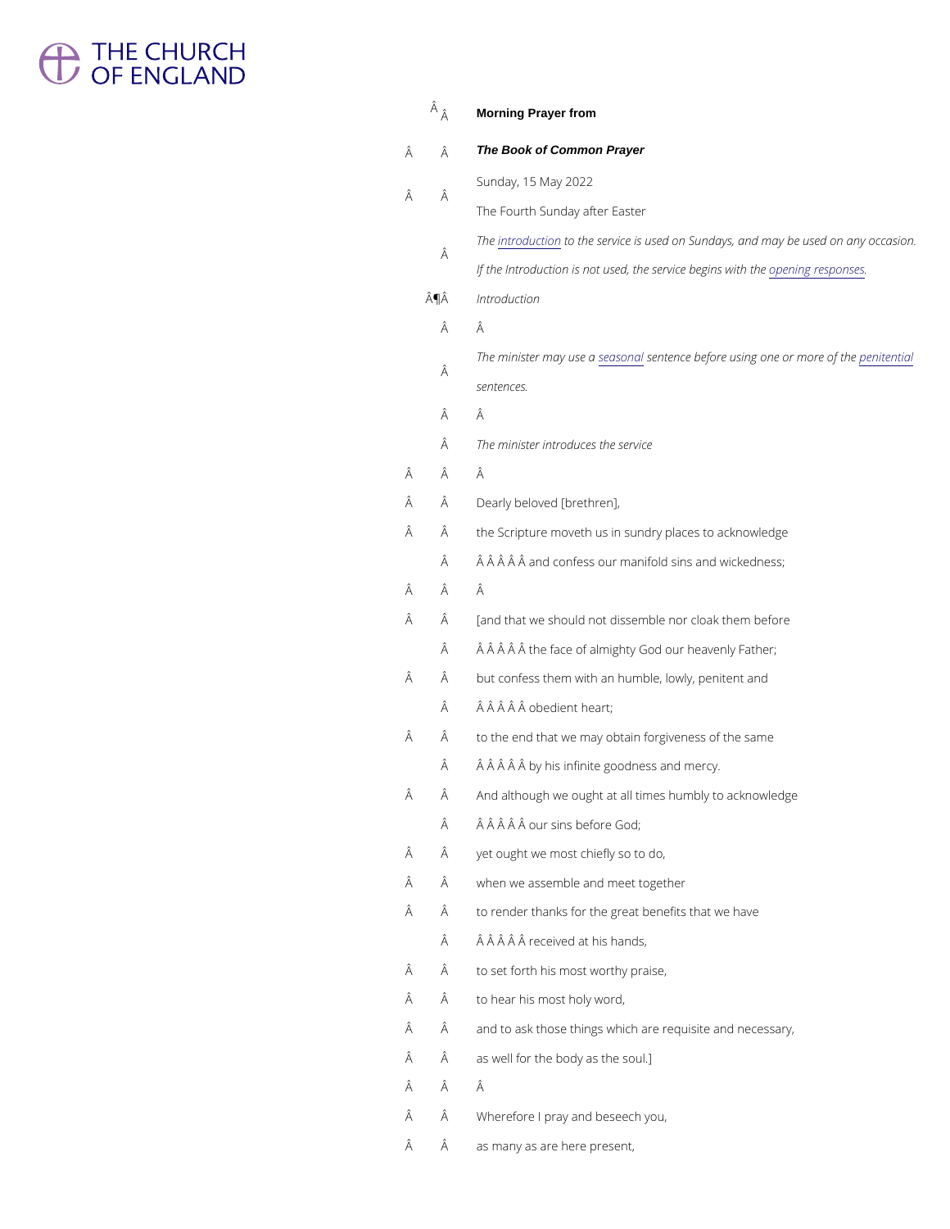# <sup>1</sup> THE CHURCH<br>
OF ENGLAND

|                            | $\hat{A}$ $\hat{A}$ | Morning Prayer from                                                 |
|----------------------------|---------------------|---------------------------------------------------------------------|
| Â                          | Â                   | The Book of Common Prayer                                           |
|                            |                     | Sunday, 15 May 2022                                                 |
|                            | Â                   | The Fourth Sunday after Easter                                      |
| Â<br>Â<br>Â<br>Â           | Â                   | Thentroductoothe service is used on Sundays, and may                |
|                            |                     | If the Introduction is not used, the pseenrivnig erebsepgansews ith |
|                            | ¶Â                  | Introduction                                                        |
|                            | Â                   | Â                                                                   |
|                            | Â                   | The minister msæya suos meæuntence before using opeenditem biræ     |
| Â<br>Â<br>Â<br>Â<br>Â<br>Â |                     | sentences.                                                          |
|                            | Â                   | Â                                                                   |
|                            | Â                   | The minister introduces the service                                 |
|                            | Â                   | Â                                                                   |
|                            | Â                   | Dearly beloved [brethren],                                          |
|                            | Â                   | the Scripture moveth us in sundry places to acknowled               |
|                            | A                   | and confess our manifold sins and wickedne                          |
|                            | Â                   | Â                                                                   |
|                            | Â                   | [and that we should not dissemble nor cloak them befo               |
|                            | Â                   | the face of almighty God our heavenly Fathe                         |
|                            | Â                   | but confess them with an humble, lowly, penitent and                |
|                            | Â                   | obedient heart;                                                     |
|                            | Â                   | to the end that we may obtain forgiveness of the same               |
|                            | Â                   | by his infinite goodness and mercy.                                 |
|                            | Â                   | And although we ought at all times humbly to acknowle               |
|                            | Â                   | our sins before God;                                                |
|                            | Â                   | yet ought we most chiefly so to do,                                 |
| Â                          | Â                   | when we assemble and meet together                                  |

- $\hat{A}$   $\hat{A}$  to render thanks for the great benefits that we have
	- $\hat{A}$   $\hat{A}$   $\hat{A}$   $\hat{A}$   $\hat{A}$  received at his hands,
- $\hat{A}$   $\hat{A}$  to set forth his most worthy praise,
- $\hat{A}$   $\hat{A}$  to hear his most holy word,
- $\hat{A}$  and to ask those things which are requisite and neces
- $\hat{A}$   $\hat{A}$  as well for the body as the soul.]
- Â Â
- Wherefore I pray and beseech you,
- Â as many as are here present,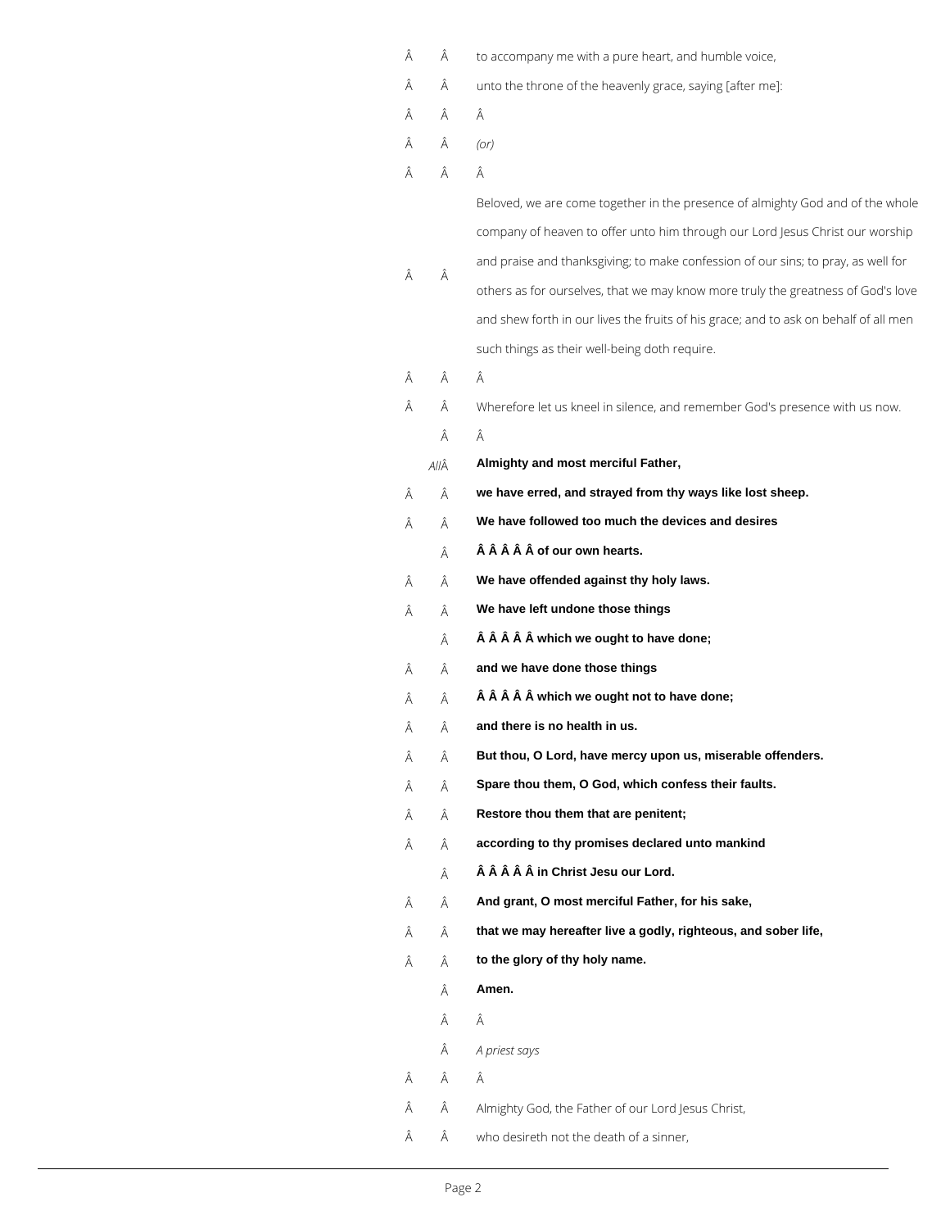| Â | Â    | to accompany me with a pure heart, and humble voice,                                 |
|---|------|--------------------------------------------------------------------------------------|
| Â | Â    | unto the throne of the heavenly grace, saying [after me]:                            |
| Â | Â    | Â                                                                                    |
| Â | Â    | (Or)                                                                                 |
| Â | Â    | Â                                                                                    |
|   |      | Beloved, we are come together in the presence of almighty God and of the whole       |
|   |      | company of heaven to offer unto him through our Lord Jesus Christ our worship        |
| Â | Â    | and praise and thanksgiving; to make confession of our sins; to pray, as well for    |
|   |      | others as for ourselves, that we may know more truly the greatness of God's love     |
|   |      | and shew forth in our lives the fruits of his grace; and to ask on behalf of all men |
|   |      | such things as their well-being doth require.                                        |
| Â | Â    | Â                                                                                    |
| Â | Â    | Wherefore let us kneel in silence, and remember God's presence with us now.          |
|   | Â    | Â                                                                                    |
|   | AllÂ | Almighty and most merciful Father,                                                   |
| Â | Â    | we have erred, and strayed from thy ways like lost sheep.                            |
| Â | Â    | We have followed too much the devices and desires                                    |
|   | Â    | of our own hearts.                                                                   |
| Â | Â    | We have offended against thy holy laws.                                              |
| Â | Â    | We have left undone those things                                                     |
|   | Â    | which we ought to have done;                                                         |
| Â | Â    | and we have done those things                                                        |
| Â | Â    | which we ought not to have done;                                                     |
| Â | Â    | and there is no health in us.                                                        |
| Â | Â    | But thou, O Lord, have mercy upon us, miserable offenders.                           |
| Â | Â    | Spare thou them, O God, which confess their faults.                                  |
| Â | Â    | Restore thou them that are penitent;                                                 |
| Â | Â    | according to thy promises declared unto mankind                                      |
|   | Â    | in Christ Jesu our Lord.                                                             |
|   |      |                                                                                      |

- $\hat{A}$  **And grant, O most merciful Father, for his sake,**
- $\hat{A}$  **that we may hereafter live a godly, righteous, and sober life,**
- $\hat{A}$  **to the glory of thy holy name.** 
	- $\hat{A}$  **Amen.**
	- $\hat{\mathsf{A}}$   $\qquad \hat{\mathsf{A}}$
	- *A priest says*
- $\hat{\mathsf{A}}\qquad \hat{\mathsf{A}}\qquad \hat{\mathsf{A}}$
- Almighty God, the Father of our Lord Jesus Christ,
- $\hat{A}$   $\hat{A}$  who desireth not the death of a sinner,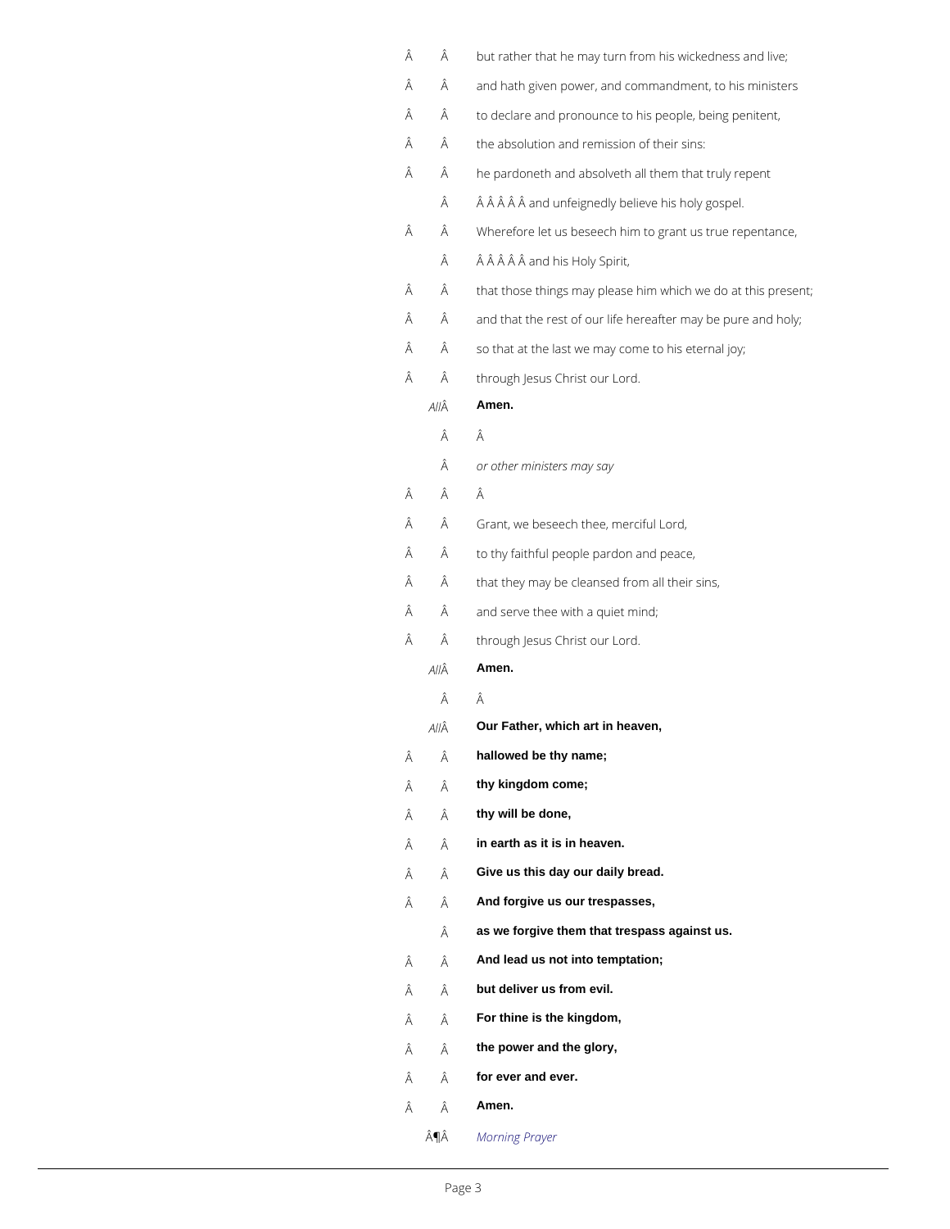<span id="page-2-0"></span>

| Â | Â    | but rather that he may turn from his wickedness and live;     |
|---|------|---------------------------------------------------------------|
| Â | Â    | and hath given power, and commandment, to his ministers       |
| Â | Â    | to declare and pronounce to his people, being penitent,       |
| Â | Â    | the absolution and remission of their sins:                   |
| Â | Â    | he pardoneth and absolveth all them that truly repent         |
|   | Â    | and unfeignedly believe his holy gospel.                      |
| Â | Â    | Wherefore let us beseech him to grant us true repentance,     |
|   | Â    | and his Holy Spirit,                                          |
| Â | Â    | that those things may please him which we do at this present; |
| Â | Â    | and that the rest of our life hereafter may be pure and holy; |
| Â | Â    | so that at the last we may come to his eternal joy;           |
| Â | Â    | through Jesus Christ our Lord.                                |
|   | AllÂ | Amen.                                                         |
|   | Â    | Â                                                             |
|   | Â    | or other ministers may say                                    |
| Â | Â    | Â                                                             |
| Â | Â    | Grant, we beseech thee, merciful Lord,                        |
| Â | Â    | to thy faithful people pardon and peace,                      |
| Â | Â    | that they may be cleansed from all their sins,                |
| Â | Â    | and serve thee with a quiet mind;                             |
| Â | Â    | through Jesus Christ our Lord.                                |
|   | AllÂ | Amen.                                                         |
|   | Â    | Â                                                             |
|   | AllÂ | Our Father, which art in heaven,                              |
| Â | Â    | hallowed be thy name;                                         |
| Â | Â    | thy kingdom come;                                             |
| Â | Â    | thy will be done,                                             |
| Â | Â    | in earth as it is in heaven.                                  |
| Â | Â    | Give us this day our daily bread.                             |
| Â | Â    | And forgive us our trespasses,                                |

- **as we forgive them that trespass against us.**
- $\hat{A}$  **And lead us not into temptation;**
- $\hat{A}$  **but deliver us from evil.**
- **For thine is the kingdom,**
- $\hat{A}$  **the power and the glory,**
- $\hat{A}$  **for ever and ever.**
- $\hat{A}$  **Amen.** 
	- ¶ *Morning Prayer*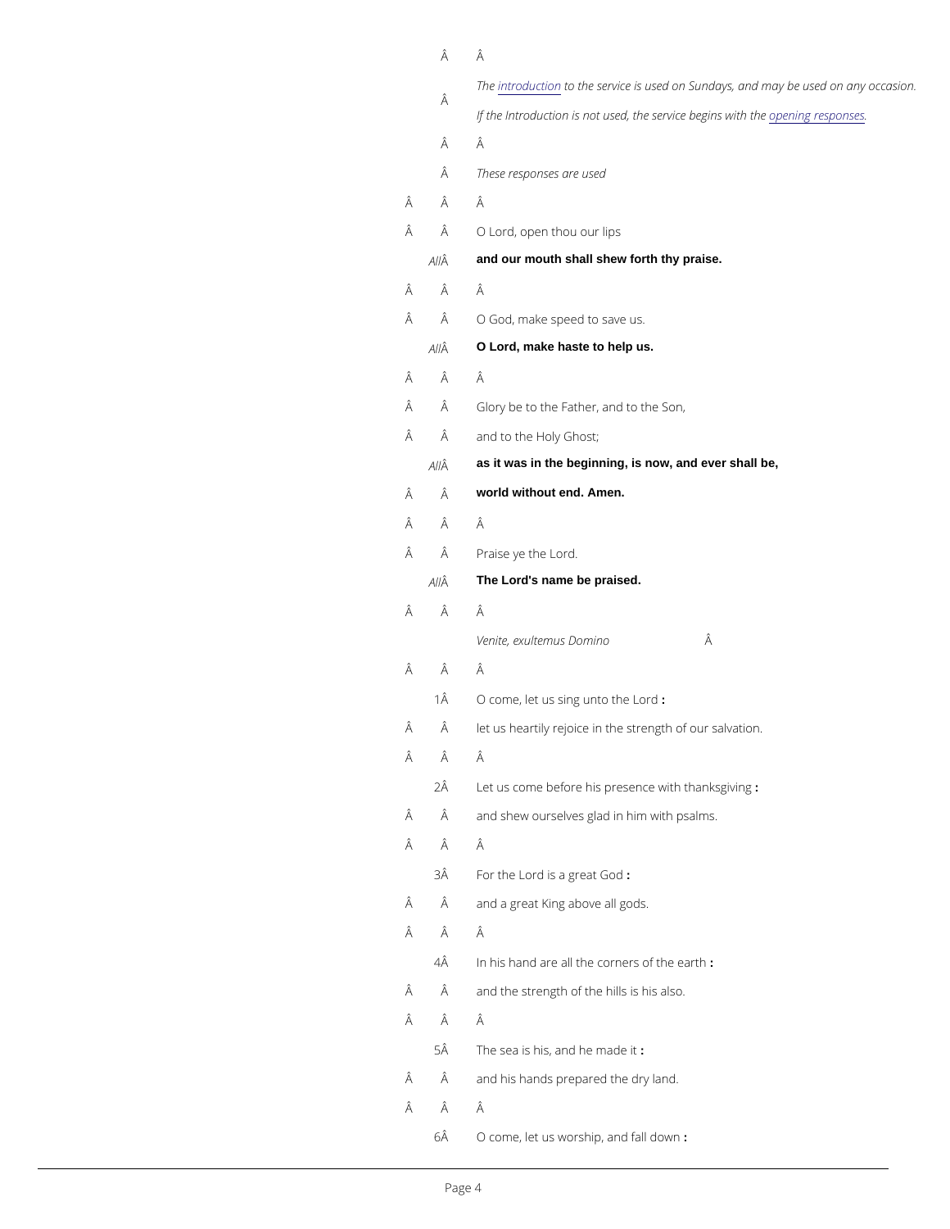|   | Â  | Â                                                                   |
|---|----|---------------------------------------------------------------------|
|   | Â  | Thentroductoothe service is used on Sundays, and may                |
|   |    | If the Introduction is not used, the pseenrivnig erebsepgansews ith |
|   | Â  | Â                                                                   |
|   | Â  | These responses are used                                            |
| Â | Â  | Â                                                                   |
| Â | Â  | O Lord, open thou our lips                                          |
|   | ΑĤ | and our mouth shall shew forth thy praise.                          |
| Â | Â  | Â                                                                   |
| Â | Â  | O God, make speed to save us.                                       |
|   | ΑĤ | O Lord, make haste to help us.                                      |
| Â | Â  | Â                                                                   |
| Â | Â  | Glory be to the Father, and to the Son,                             |
| Â | Â  | and to the Holy Ghost;                                              |
|   | ΑĤ | as it was in the beginning, is now, and ever shall be,              |
| Â | Â  | world without end. Amen.                                            |
| Â | Â  | Â                                                                   |
| Â | Â  | Praise ye the Lord.                                                 |
|   | ΑĤ | The Lord's name be praised.                                         |
| Â | Â  | Â                                                                   |
|   |    | Venite, exultemus Domino Â                                          |
| Â | Â  | Â                                                                   |
|   | 1Â | O come, let us sing unto the Lord                                   |
| Â | Â  | let us heartily rejoice in the strength of our salvation.           |
| Â | Â  | Â                                                                   |
|   | 2Â | Let us come before his presence with thanksgiving                   |
| Â | Â  | and shew ourselves glad in him with psalms.                         |
| Â | Â  | Â                                                                   |
|   | 3Â | For the Lord is a:great God                                         |
| Â | Â  | and a great King above all gods.                                    |

#### $\hat{\mathsf{A}}\qquad \hat{\mathsf{A}}\qquad \hat{\mathsf{A}}$

- 4Å In his hand are all the corners of the earth
- $\hat{A}$  and the strength of the hills is his also.
- Â Â
	- $5\hat{A}$  The sea is his, and he made it
- $\hat{A}$  and his hands prepared the dry land.
- Â Â
	- 6Â O come, let us worship, : and fall down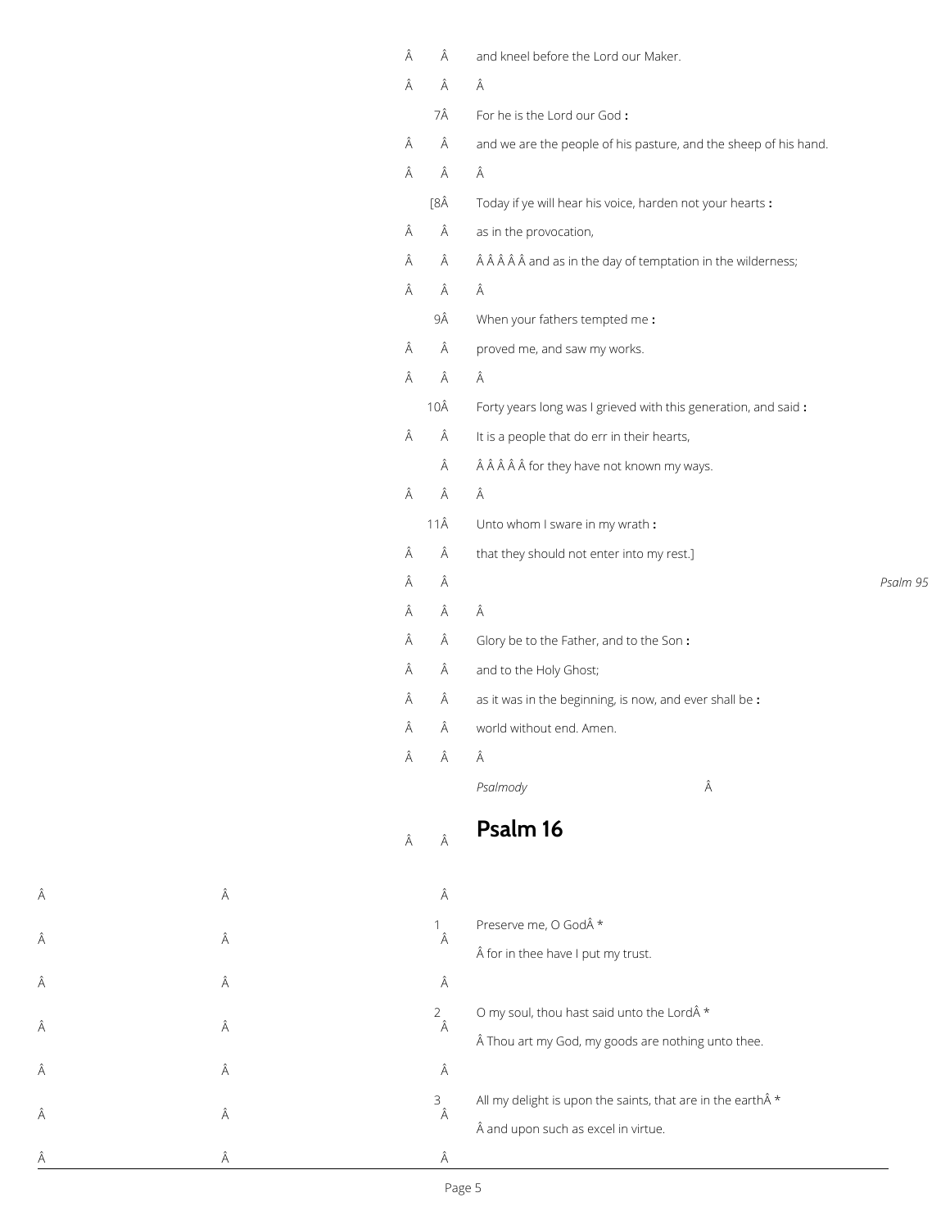| Â | Â           | and kneel before the Lord our Maker.                                                       |          |
|---|-------------|--------------------------------------------------------------------------------------------|----------|
| Â | Â           | Â                                                                                          |          |
|   | 7Â          | For he is the Lord our God:                                                                |          |
| Â | Â           | and we are the people of his pasture, and the sheep of his hand.                           |          |
| Â | Â           | Â                                                                                          |          |
|   | [8Â         | Today if ye will hear his voice, harden not your hearts :                                  |          |
| Â | Â           | as in the provocation,                                                                     |          |
| Â | Â           | $\hat{A}$ $\hat{A}$ $\hat{A}$ $\hat{A}$ and as in the day of temptation in the wilderness; |          |
| Â | Â           | Â                                                                                          |          |
|   | 9Â          | When your fathers tempted me:                                                              |          |
| Â | Â           | proved me, and saw my works.                                                               |          |
| Â | Â           | Â                                                                                          |          |
|   | 10Â         | Forty years long was I grieved with this generation, and said:                             |          |
| Â | Â           | It is a people that do err in their hearts,                                                |          |
|   | Â           | for they have not known my ways.                                                           |          |
| Â | Â           | Â                                                                                          |          |
|   | $11\hat{A}$ | Unto whom I sware in my wrath:                                                             |          |
| Â | Â           | that they should not enter into my rest.]                                                  |          |
| Â | Â           |                                                                                            | Psalm 95 |
| Â | Â           | Â                                                                                          |          |
| Â | Â           | Glory be to the Father, and to the Son:                                                    |          |
| Â | Â           | and to the Holy Ghost;                                                                     |          |
| Â | Â           | as it was in the beginning, is now, and ever shall be :                                    |          |
| Â | Â           | world without end. Amen.                                                                   |          |
| Â | Â           | Â                                                                                          |          |
|   |             | Â<br>Psalmody                                                                              |          |
| Â | Â           | Psalm 16                                                                                   |          |

| Â | Â | Â                   | Preserve me, O God *<br>for in thee have I put my trust.                                                  |
|---|---|---------------------|-----------------------------------------------------------------------------------------------------------|
| Â | Â | Â                   |                                                                                                           |
| Â | Â | $\overline{2}$<br>Â | O my soul, thou hast said unto the Lord *<br>Thou art my God, my goods are nothing unto thee.             |
| Â | Â | Â                   |                                                                                                           |
| Â | Â | 3<br>Â              | All my delight is upon the saints, that are in the earth $\hat{A}$ *<br>and upon such as excel in virtue. |
| Â | Ä | Â                   |                                                                                                           |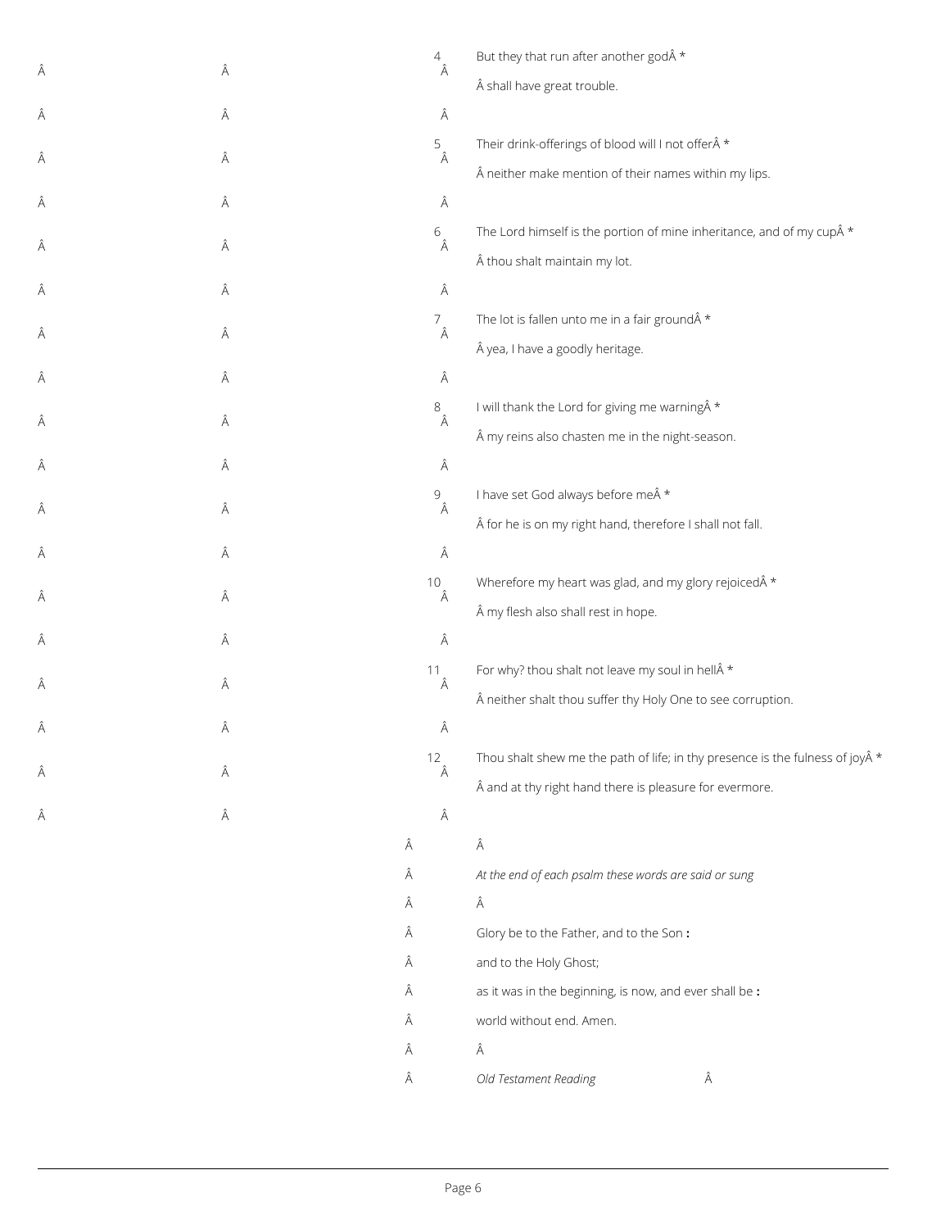|   |   | $\overline{4}$                                                 | But they that run after another god *                                                  |
|---|---|----------------------------------------------------------------|----------------------------------------------------------------------------------------|
| Â | Â | Â                                                              | shall have great trouble.                                                              |
| Â | Â | Â                                                              |                                                                                        |
|   |   | 5                                                              | Their drink-offerings of blood will I not offer *                                      |
| Â | Â | Â                                                              | neither make mention of their names within my lips.                                    |
| Â | Â | Â                                                              |                                                                                        |
| Â | Â | $6\hat{A}$                                                     | The Lord himself is the portion of mine inheritance, and of my cup $\hat{A}$ *         |
|   |   |                                                                | thou shalt maintain my lot.                                                            |
| Â | Â | Â                                                              |                                                                                        |
| Â | Â | $\begin{array}{c}\n7 \\ \hat{A}\n\end{array}$                  | The lot is fallen unto me in a fair ground *                                           |
|   |   |                                                                | yea, I have a goodly heritage.                                                         |
| Â | Â | Â                                                              |                                                                                        |
| Â | Â | $8\hat{A}$                                                     | I will thank the Lord for giving me warning *                                          |
|   |   |                                                                | my reins also chasten me in the night-season.                                          |
| Â | Â | Â                                                              |                                                                                        |
| Â | Â | $\mathcal{G}% _{M_{1},M_{2}}^{\alpha,\beta}(\mathcal{G})$<br>Â | I have set God always before me *                                                      |
|   |   |                                                                | for he is on my right hand, therefore I shall not fall.                                |
| Â | Â | Â                                                              |                                                                                        |
| Â | Â | 10<br>Â                                                        | Wherefore my heart was glad, and my glory rejoiced $\hat{A}$ *                         |
|   |   |                                                                | my flesh also shall rest in hope.                                                      |
| Â | Â | Â                                                              |                                                                                        |
| Â | Â | 11<br>Â                                                        | For why? thou shalt not leave my soul in hell $\hat{A}$ *                              |
|   |   |                                                                | neither shalt thou suffer thy Holy One to see corruption.                              |
| Â | Â | Â                                                              |                                                                                        |
| Â | Â | 12<br>Â                                                        | Thou shalt shew me the path of life; in thy presence is the fulness of joy $\hat{A}$ * |
|   |   |                                                                | and at thy right hand there is pleasure for evermore.                                  |
| Â | Â | Â                                                              |                                                                                        |
|   |   | Â                                                              | Â                                                                                      |
|   |   | Â                                                              | At the end of each psalm these words are said or sung                                  |
|   |   | Â                                                              | Â                                                                                      |

- Glory be to the Father, and to the Son **:**
- and to the Holy Ghost;
- as it was in the beginning, is now, and ever shall be **:**
- world without end. Amen.
- $\hat{A}$   $\hat{A}$
- *Old Testament Reading*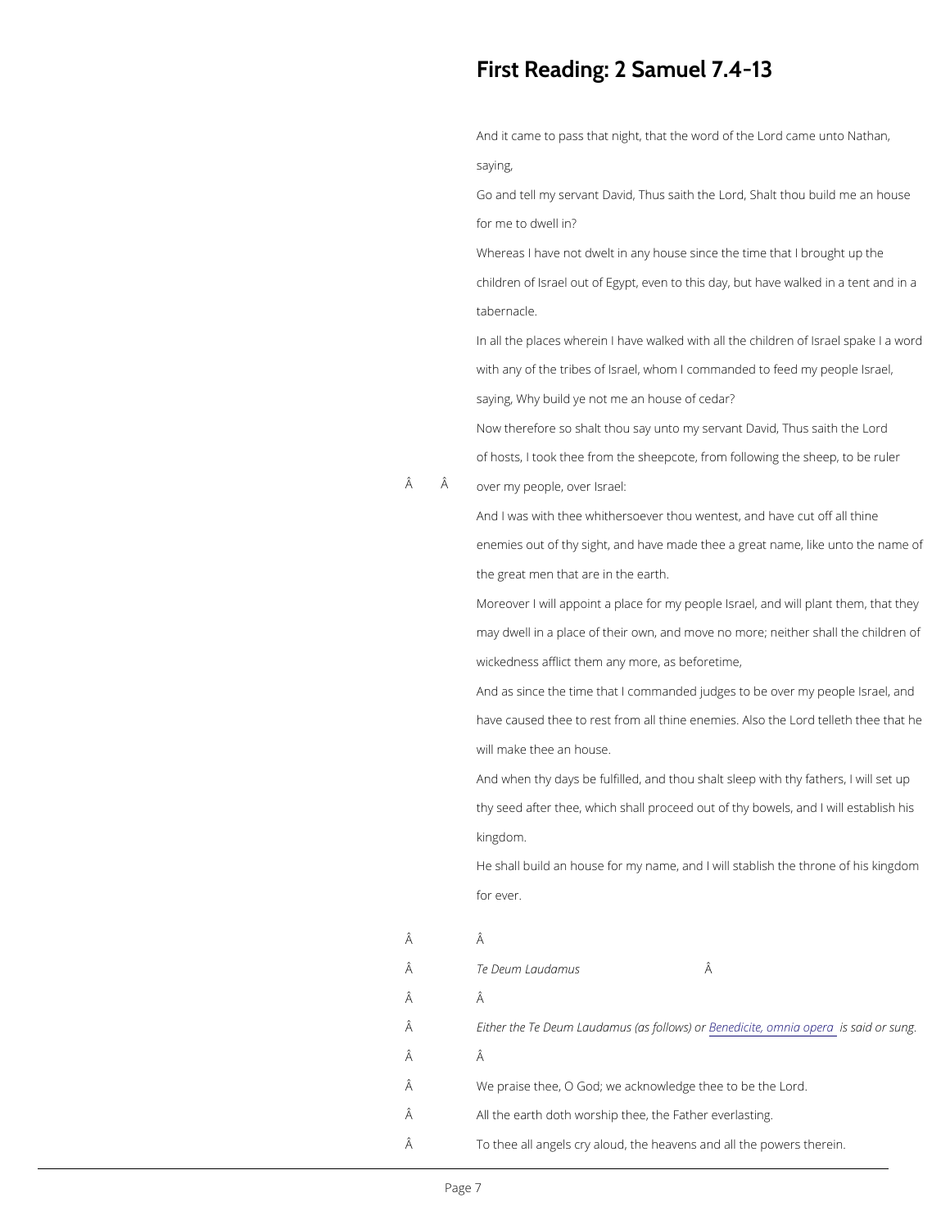# First Reading: 2 Samuel 7.4-

And it came to pass that night, that dthe mew and oo N the an, saying,

Go and tell my servant David or Tch Sulsastath house house and tell my servant David or Tch Sulsastath house u for me to dwell in?

Whereas I have not dwelt in any house since the time children of Israel out of Egypt, even to this day, but h tabernacle.

In all the places wherein I have walked with all the ch with any of the tribes of Israel, whom I commanded to saying, Why build ye not me an house of cedar? Now therefore so shalt thou say unto my servant David of hosts, I took thee from the sheepcote, from following

A A over my people, over Israel:

And I was with thee whithersoever thou wentest, and have enemies out of thy sight, and have made thee a great the great men that are in the earth.

Moreover I will appoint a place for my people Israel, and  $\alpha$ may dwell in a place of their own, and move no more; wickedness afflict them any more, as beforetime,

And as since the time that I commanded judges to be have caused thee to rest from all thincer denies entire sthe Ad ston will make thee an house.

And when thy days be fulfilled, and thou shalt sleep w thy seed after thee, which shall proceed out of thy bo kingdom.

He shall build an house for my name, and I will stablis for ever.

| Â | Â                                                                         |
|---|---------------------------------------------------------------------------|
| Â | Â<br>Te Deum Laudamus                                                     |
| Â | Â                                                                         |
| Â | Either the Te Deum LaudamBuesn (eadsic fiold), o www.hiiearscapiedrotrs.u |
| Â | Â                                                                         |
| Â | We praise thee, O God; we acknowledge thee to be the                      |
| Â | All the earth doth worship thee, the Father everlasting                   |
| Â | To thee all angels cry aloud, the heavens and all the                     |
|   |                                                                           |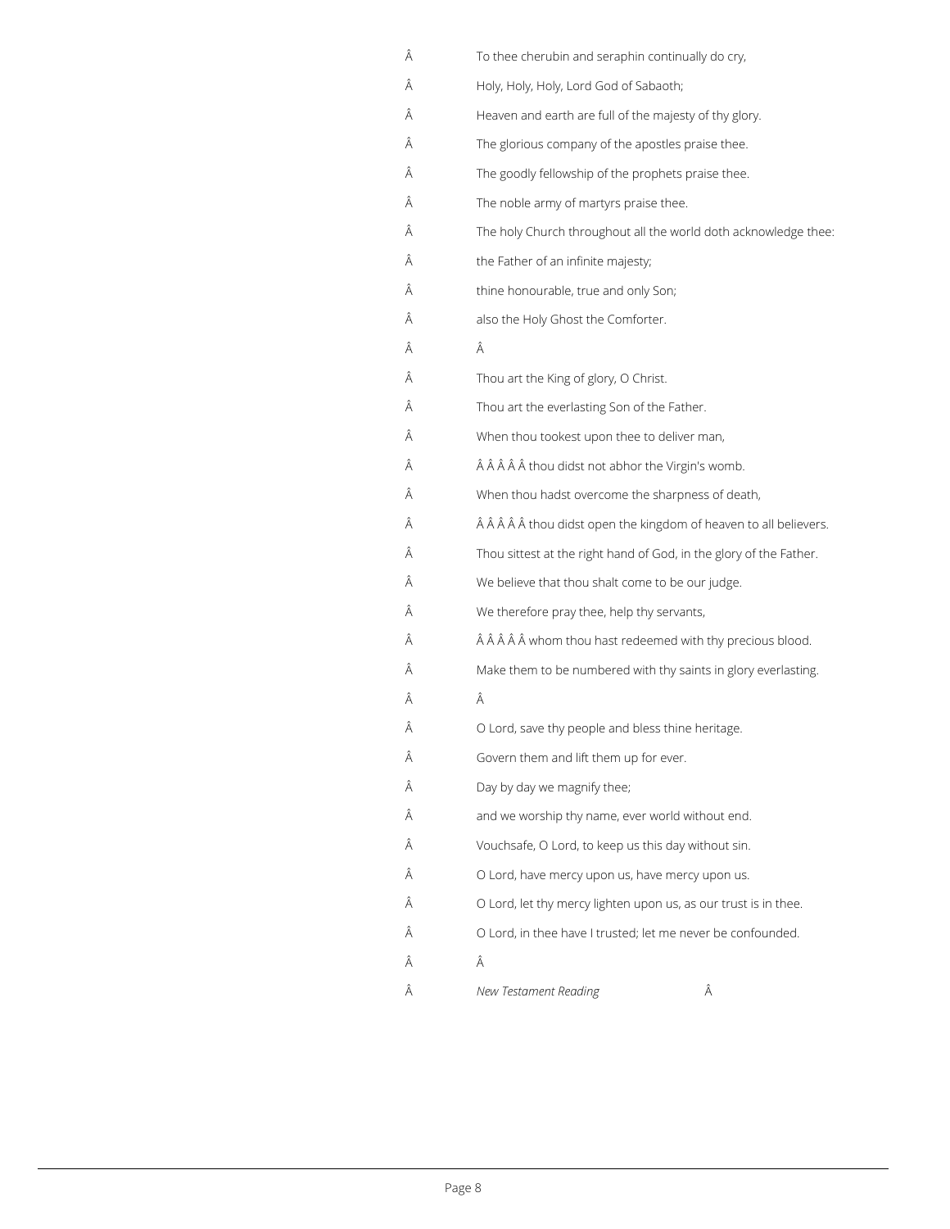| Â | To thee cherubin and seraphin continually do cry,                  |
|---|--------------------------------------------------------------------|
| Â | Holy, Holy, Holy, Lord God of Sabaoth;                             |
| Â | Heaven and earth are full of the majesty of thy glory.             |
| Â | The glorious company of the apostles praise thee.                  |
| Â | The goodly fellowship of the prophets praise thee.                 |
| Â | The noble army of martyrs praise thee.                             |
| Â | The holy Church throughout all the world doth acknowledge thee:    |
| Â | the Father of an infinite majesty;                                 |
| Â | thine honourable, true and only Son;                               |
| Â | also the Holy Ghost the Comforter.                                 |
| Â | Â                                                                  |
| Â | Thou art the King of glory, O Christ.                              |
| Â | Thou art the everlasting Son of the Father.                        |
| Â | When thou tookest upon thee to deliver man,                        |
| Â | thou didst not abhor the Virgin's womb.                            |
| Â | When thou hadst overcome the sharpness of death,                   |
| Â | thou didst open the kingdom of heaven to all believers.            |
| Â | Thou sittest at the right hand of God, in the glory of the Father. |
| Â | We believe that thou shalt come to be our judge.                   |
| Â | We therefore pray thee, help thy servants,                         |
| Â | whom thou hast redeemed with thy precious blood.                   |
| Â | Make them to be numbered with thy saints in glory everlasting.     |
| Â | Â                                                                  |
| Â | O Lord, save thy people and bless thine heritage.                  |
| Â | Govern them and lift them up for ever.                             |
| Â | Day by day we magnify thee;                                        |
| Â | and we worship thy name, ever world without end.                   |
| Â | Vouchsafe, O Lord, to keep us this day without sin.                |
| Â | O Lord, have mercy upon us, have mercy upon us.                    |
| Â | O Lord, let thy mercy lighten upon us, as our trust is in thee.    |

- O Lord, in thee have I trusted; let me never be confounded.
- $\hat{\mathsf{A}}$   $\hat{\mathsf{A}}$ *New Testament Reading*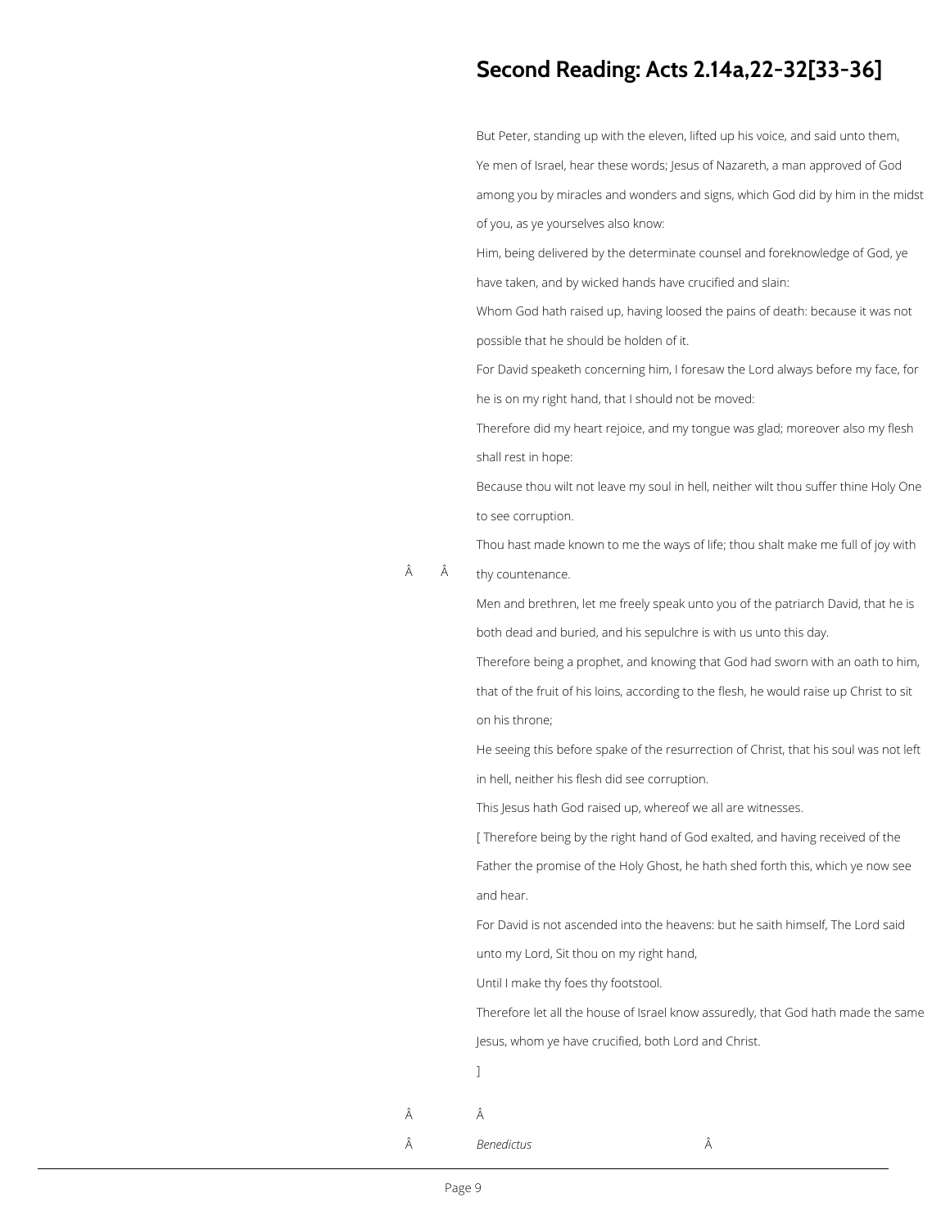## **Second Reading: Acts 2.14a,22-32[33-36]**

But Peter, standing up with the eleven, lifted up his voice, and said unto them, Ye men of Israel, hear these words; Jesus of Nazareth, a man approved of God among you by miracles and wonders and signs, which God did by him in the midst of you, as ye yourselves also know:

Him, being delivered by the determinate counsel and foreknowledge of God, ye have taken, and by wicked hands have crucified and slain:

 Â thy countenance.

Whom God hath raised up, having loosed the pains of death: because it was not possible that he should be holden of it.

For David speaketh concerning him, I foresaw the Lord always before my face, for he is on my right hand, that I should not be moved:

Therefore did my heart rejoice, and my tongue was glad; moreover also my flesh shall rest in hope:

Because thou wilt not leave my soul in hell, neither wilt thou suffer thine Holy One to see corruption.

Thou hast made known to me the ways of life; thou shalt make me full of joy with

Men and brethren, let me freely speak unto you of the patriarch David, that he is both dead and buried, and his sepulchre is with us unto this day.

Therefore being a prophet, and knowing that God had sworn with an oath to him, that of the fruit of his loins, according to the flesh, he would raise up Christ to sit on his throne;

He seeing this before spake of the resurrection of Christ, that his soul was not left in hell, neither his flesh did see corruption.

This Jesus hath God raised up, whereof we all are witnesses.

[ Therefore being by the right hand of God exalted, and having received of the Father the promise of the Holy Ghost, he hath shed forth this, which ye now see and hear.

For David is not ascended into the heavens: but he saith himself, The Lord said

unto my Lord, Sit thou on my right hand,

Until I make thy foes thy footstool.

Therefore let all the house of Israel know assuredly, that God hath made the same

Jesus, whom ye have crucified, both Lord and Christ.

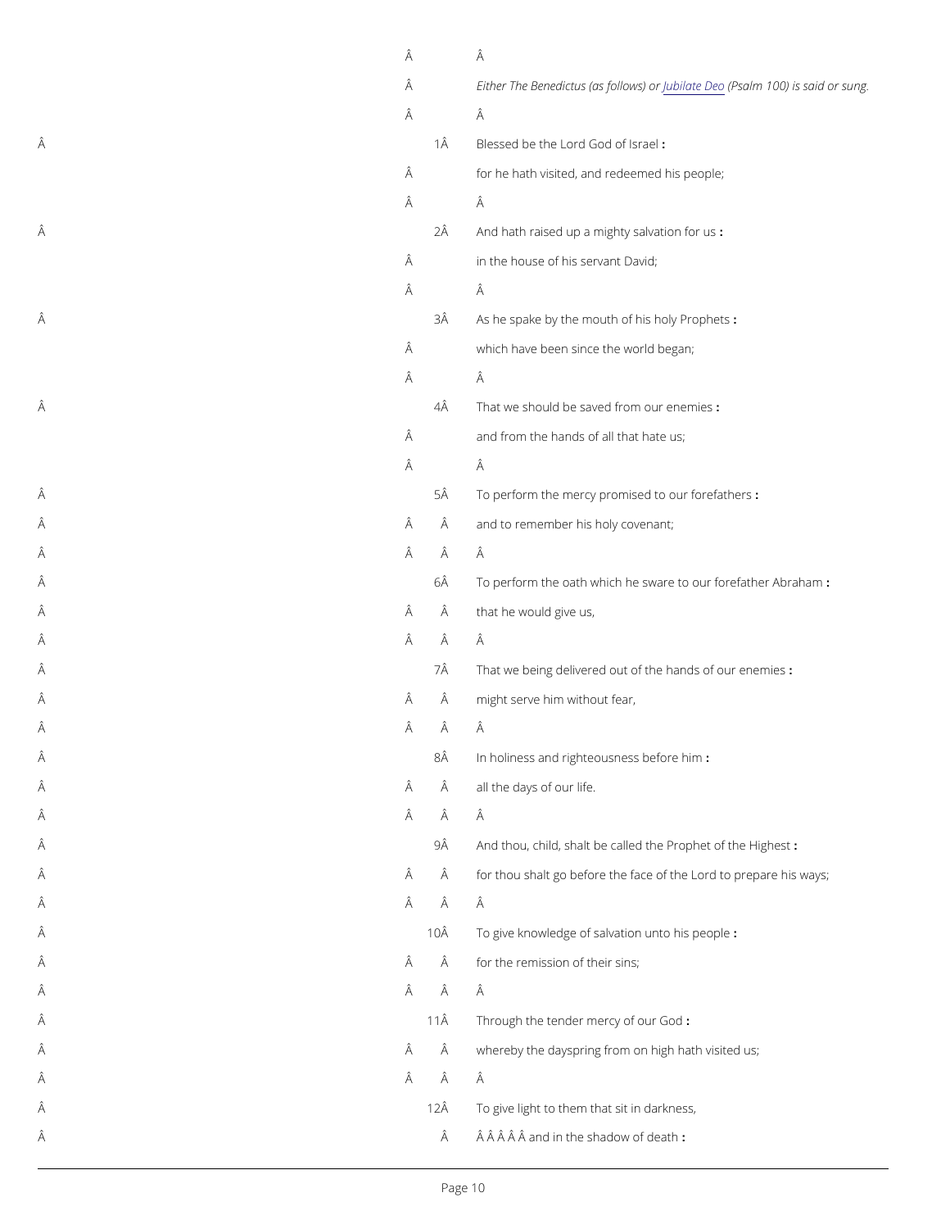|   | Â |    | Â                                                                                                       |
|---|---|----|---------------------------------------------------------------------------------------------------------|
|   | Â |    | Either The BenedictusJ (absiated (@) we approved the said or support of $0.0$ ) is said or supported by |
|   | Â |    | Â                                                                                                       |
| Â |   | 1Â | Blessed be the Lord God of Israel                                                                       |
|   | Â |    | for he hath visited, and redeemed his people;                                                           |
|   | Â |    | Â                                                                                                       |
| Â |   | 2Â | And hath raised up a mighty: salvation for us                                                           |
|   | Â |    | in the house of his servant David;                                                                      |
|   | Â |    | Â                                                                                                       |
| Â |   | ЗÂ | As he spake by the mouth of his holy Prophets                                                           |
|   | Â |    | which have been since the world began;                                                                  |
|   | Â |    | Â                                                                                                       |
| Â |   | 4Â | That we should be saved from our enemies                                                                |
|   | Â |    | and from the hands of all that hate us;                                                                 |
|   | Â |    | Â                                                                                                       |
| Â |   | 5Â | To perform the mercy promised to our forefathers                                                        |
| Â | Â | Â  | and to remember his holy covenant;                                                                      |
| Â | Â | Â  | Â                                                                                                       |
| Â |   | 6Â | To perform the oath which he sware to our forefather,                                                   |
| Â | Â | Â  | that he would give us,                                                                                  |
| Â | Â | Â  | Â                                                                                                       |
| Â |   | 7Â | That we being delivered out of the hands of our enemi                                                   |
| Â | Â | Â  | might serve him without fear,                                                                           |
| Â | Â | Â  | Â                                                                                                       |
| Â |   | 8Â | In holiness and righteousness before him                                                                |
| Â | Â | Â  | all the days of our life.                                                                               |
| Â | Â | Â  | Â                                                                                                       |
| Â |   | 9Â | And thou, child, shalt be called the Prophet of the Hig                                                 |
| Â | Â | Â  | for thou shalt go before the face of the Lord to prepar                                                 |
| Â | Ă | Â  | Â                                                                                                       |

- de la seconda de la seconda de la seconda de la seconda de la seconda de la seconda de la seconda de la seconda
- $\hat{A}$  and  $\hat{A}$  and  $\hat{A}$  and  $\hat{A}$  and  $\hat{A}$  and  $\hat{A}$  and  $\hat{A}$  and  $\hat{A}$  and  $\hat{A}$  and  $\hat{A}$  and  $\hat{A}$  and  $\hat{A}$  and  $\hat{A}$  and  $\hat{A}$  and  $\hat{A}$  and  $\hat{A}$  and  $\hat{A}$  and  $\hat{A}$  and  $\hat{A$
- $\tilde{A}$   $\tilde{A}$   $\tilde{A}$   $\tilde{A}$   $\tilde{A}$   $\tilde{A}$
- $\hat{A}$  and  $\hat{A}$  through the tender mercy of our God
- $\hat{A}$  and  $\hat{A}$  and  $\hat{A}$  whereby the dayspring from on high hath visited us;
- $\tilde{A}$   $\tilde{A}$   $\tilde{A}$   $\tilde{A}$   $\tilde{A}$   $\tilde{A}$
- $\hat{A}$  and  $\hat{A}$  and  $\hat{A}$  and  $\hat{A}$  and  $\hat{A}$  and  $\hat{A}$  and  $\hat{A}$  and  $\hat{A}$  and  $\hat{A}$  and  $\hat{A}$  and  $\hat{A}$  and  $\hat{A}$  and  $\hat{A}$  and  $\hat{A}$  and  $\hat{A}$  and  $\hat{A}$  and  $\hat{A}$  and  $\hat{A}$  and  $\hat{A$
- $\hat{A}$  and in the shadow of death  $\hat{A}$   $\hat{A}$   $\hat{A}$   $\hat{A}$   $\hat{A}$   $\hat{A}$   $\hat{A}$   $\hat{A}$   $\hat{A}$   $\hat{A}$  and in the shadow of death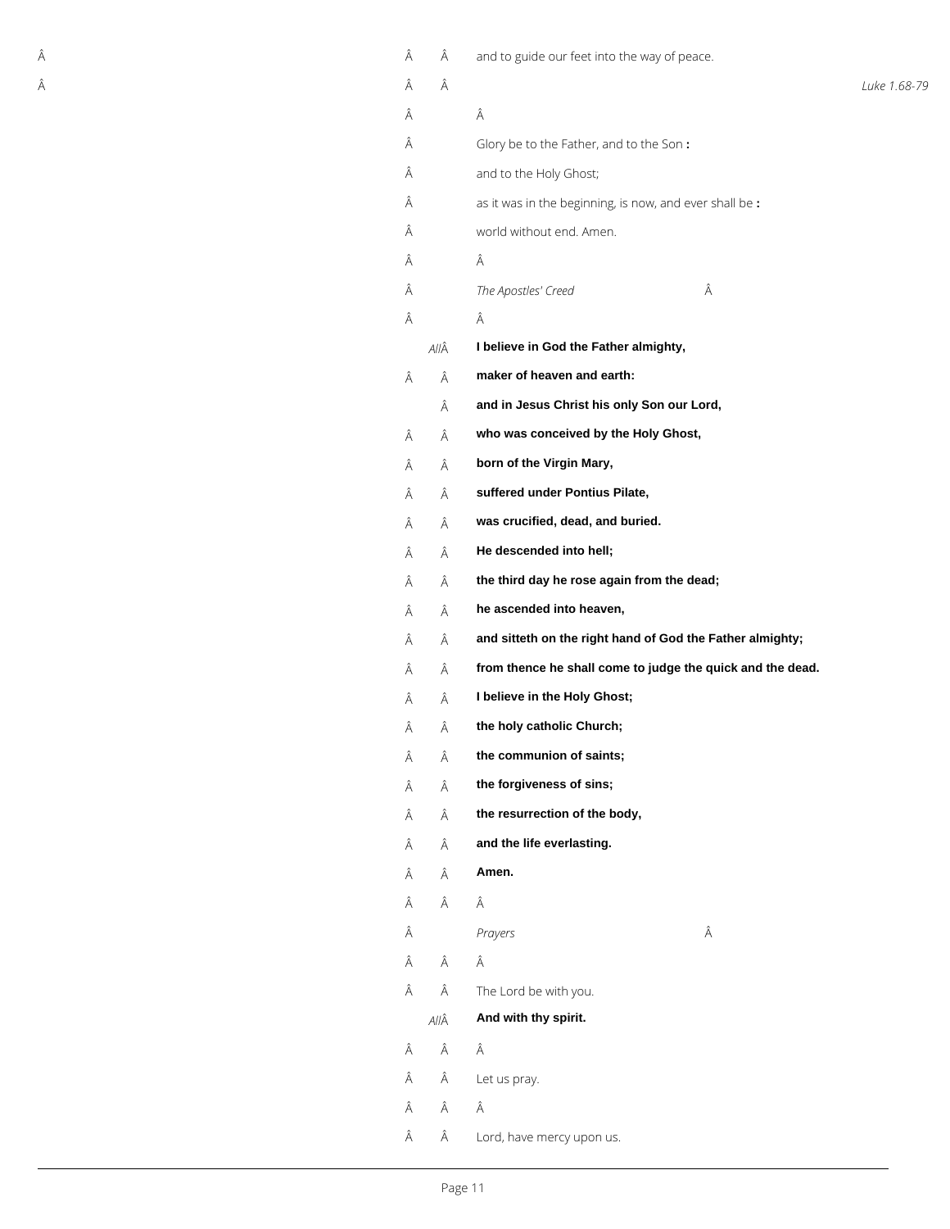| Â | Â | Â    | and to guide our feet into the way of peace.               |              |
|---|---|------|------------------------------------------------------------|--------------|
| Â | Â | Â    |                                                            | Luke 1.68-79 |
|   | Â |      | Â                                                          |              |
|   | Â |      | Glory be to the Father, and to the Son:                    |              |
|   | Â |      | and to the Holy Ghost;                                     |              |
|   | Â |      | as it was in the beginning, is now, and ever shall be :    |              |
|   | Â |      | world without end. Amen.                                   |              |
|   | Â |      | Â                                                          |              |
|   | Â |      | Â<br>The Apostles' Creed                                   |              |
|   | Â |      | Â                                                          |              |
|   |   | AllÂ | I believe in God the Father almighty,                      |              |
|   | Â | Â    | maker of heaven and earth:                                 |              |
|   |   | Â    | and in Jesus Christ his only Son our Lord,                 |              |
|   | Â | Â    | who was conceived by the Holy Ghost,                       |              |
|   | Â | Â    | born of the Virgin Mary,                                   |              |
|   | Â | Â    | suffered under Pontius Pilate,                             |              |
|   | Â | Â    | was crucified, dead, and buried.                           |              |
|   | Â | Â    | He descended into hell;                                    |              |
|   | Â | Â    | the third day he rose again from the dead;                 |              |
|   | Â | Â    | he ascended into heaven,                                   |              |
|   | Â | Â    | and sitteth on the right hand of God the Father almighty;  |              |
|   | Â | Â    | from thence he shall come to judge the quick and the dead. |              |
|   | Â | Â    | I believe in the Holy Ghost;                               |              |
|   | Â | Â    | the holy catholic Church;                                  |              |
|   | Â | Â    | the communion of saints;                                   |              |
|   | Â | Â    | the forgiveness of sins;                                   |              |
|   | Â | Â    | the resurrection of the body,                              |              |
|   | Â | Â    | and the life everlasting.                                  |              |
|   | Â | Â    | Amen.                                                      |              |
|   |   |      |                                                            |              |

 $\hat{A}$   $\hat{A}$   $\hat{A}$ 

| Â |      | Prayers                   | Â |
|---|------|---------------------------|---|
| Â | Â    | Â                         |   |
| Â | Â    | The Lord be with you.     |   |
|   | AllÂ | And with thy spirit.      |   |
| Â | Â    | Â                         |   |
| Â | Â    | Let us pray.              |   |
| Â | Â    | Â                         |   |
| Â | Â    | Lord, have mercy upon us. |   |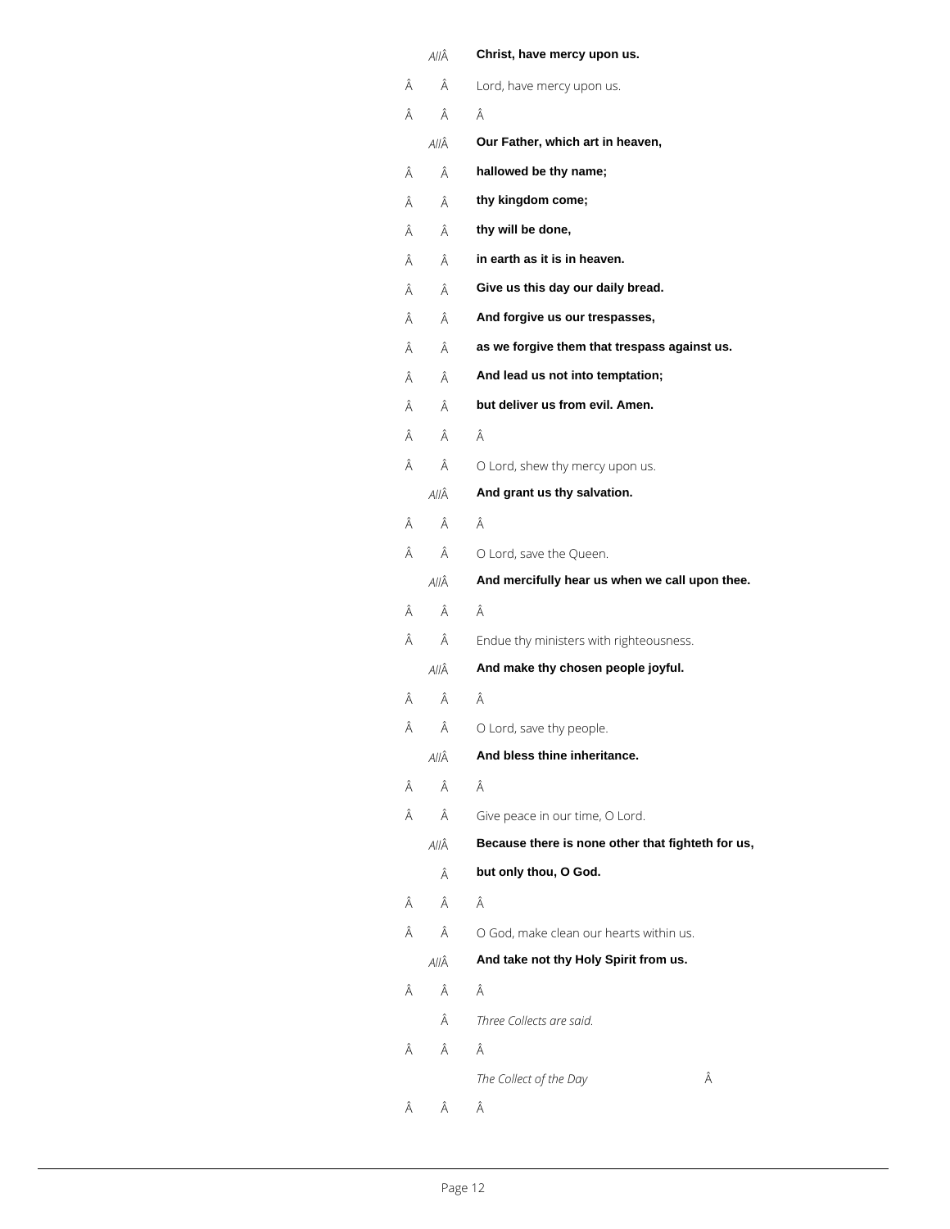|   | AllÂ | Christ, have mercy upon us.                       |
|---|------|---------------------------------------------------|
| Â | Â    | Lord, have mercy upon us.                         |
| Â | Â    | Â                                                 |
|   | AllÂ | Our Father, which art in heaven,                  |
| Â | Â    | hallowed be thy name;                             |
| Â | Â    | thy kingdom come;                                 |
| Â | Â    | thy will be done,                                 |
| Â | Â    | in earth as it is in heaven.                      |
| Â | Â    | Give us this day our daily bread.                 |
| Â | Â    | And forgive us our trespasses,                    |
| Â | Â    | as we forgive them that trespass against us.      |
| Â | Â    | And lead us not into temptation;                  |
| Â | Â    | but deliver us from evil. Amen.                   |
| Â | Â    | Â                                                 |
| Â | Â    | O Lord, shew thy mercy upon us.                   |
|   | AllÂ | And grant us thy salvation.                       |
| Â | Â    | Â                                                 |
| Â | Â    | O Lord, save the Queen.                           |
|   | AllÂ | And mercifully hear us when we call upon thee.    |
| Â | Â    | Â                                                 |
| Â | Â    | Endue thy ministers with righteousness.           |
|   | AllÂ | And make thy chosen people joyful.                |
| Â | Â    | Â                                                 |
| Â | Â    | O Lord, save thy people.                          |
|   | AllÂ | And bless thine inheritance.                      |
| Â | Â    | Â                                                 |
| Â | Â    | Give peace in our time, O Lord.                   |
|   | AllÂ | Because there is none other that fighteth for us, |
|   | Â    | but only thou, O God.                             |
| Â | Â    | Â                                                 |

### $\hat{A}$   $\hat{A}$   $\hat{O}$  God, make clean our hearts within us.

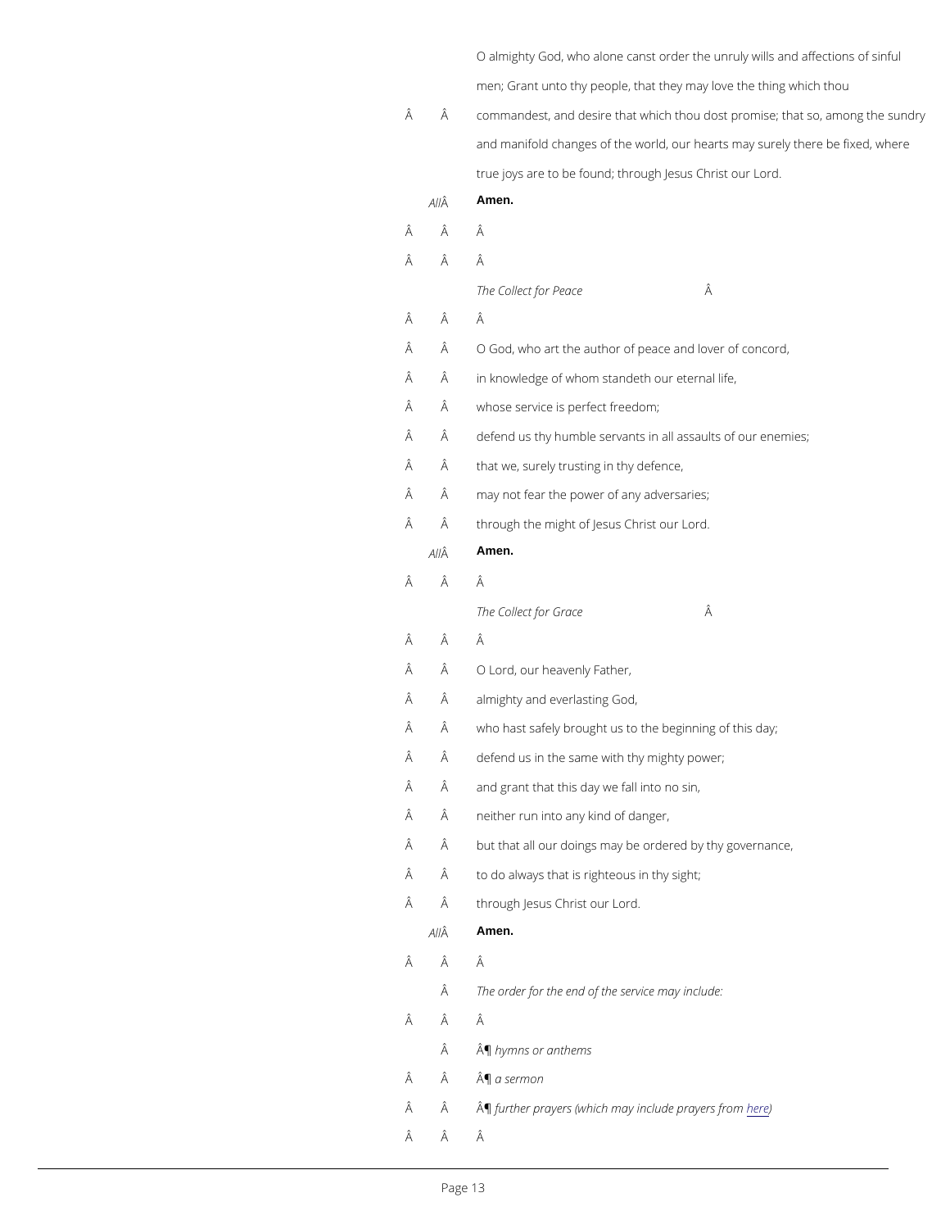O almighty God, who alone canst order the unruly will men; Grant unto thy people, that they may love the thi

- Â commandest, and desire that which thou dost promise; and manifold changes of the world, our hearts may sur true joys are to be found; through Jesus Christ our Lo A  $\hat{A}$  Amen.
- Â Â
- Â Â

The Collect for Peace

- Â Â
- $\hat{A}$   $\hat{A}$   $\hat{O}$  God, who art the author of peace and lover of conco
	- $\hat{A}$  in knowledge of whom standeth our eternal life,
- $\hat{A}$   $\hat{A}$  whose service is perfect freedom;
- $\hat{A}$   $\hat{A}$  defend us thy humble servants in all assaults of our e
- $\hat{A}$   $\hat{A}$  that we, surely trusting in thy defence,
- $\hat{A}$   $\hat{A}$  may not fear the power of any adversaries;
- $\hat{A}$   $\hat{A}$  through the might of Jesus Christ our Lord.
	- A  $\hat{A}$  Amen.
- Â Â
	- The Collect for Grace A
- Â Â
- $\hat{A}$   $\hat{A}$   $\hat{O}$  Lord, our heavenly Father,
- $\hat{A}$   $\hat{A}$  almighty and everlasting God,
- $\hat{A}$   $\hat{A}$  who hast safely brought us to the beginning of this da
- $\hat{A}$   $\hat{A}$  defend us in the same with thy mighty power;
- $\hat{A}$   $\hat{A}$  and grant that this day we fall into no sin,
- $\hat{A}$   $\hat{A}$  neither run into any kind of danger,
- $\hat{A}$   $\hat{A}$  but that all our doings may be ordered by thy governa
- $\hat{A}$   $\hat{A}$  to do always that is righteous in thy sight;
- Â through Jesus Christ our Lord.

#### A  $\hat{A}$  Amen.

- Â Â
	- The order for the end of the service may include:
- Â Â
	- ¶hymns or anthems
- $\hat{A}$   $\hat{A}$   $\hat{A}$   $\hat{B}$  a sermon
- $\hat{A}$   $\hat{A}$   $\hat{A}$   $\hat{B}$  furt[he](https://cwdp.oremus.org/prayers.html#bcp)r prayers (which may inhologie prayers from
- Â Â